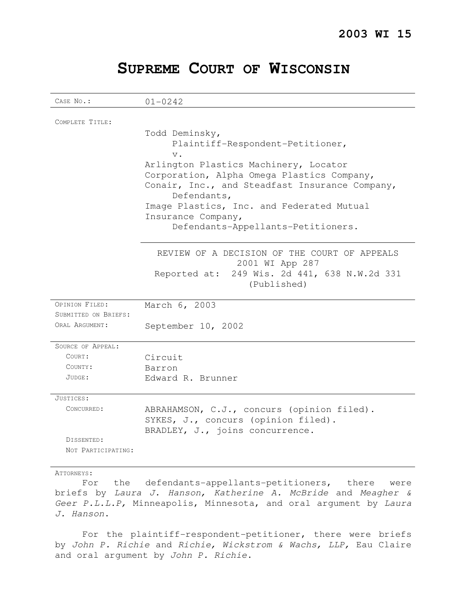# **SUPREME COURT OF WISCONSIN**

| COMPLETE TITLE:<br>Todd Deminsky,<br>Plaintiff-Respondent-Petitioner,<br>$V$ .<br>Arlington Plastics Machinery, Locator<br>Corporation, Alpha Omega Plastics Company,<br>Conair, Inc., and Steadfast Insurance Company,<br>Defendants,<br>Image Plastics, Inc. and Federated Mutual<br>Insurance Company,<br>Defendants-Appellants-Petitioners.<br>REVIEW OF A DECISION OF THE COURT OF APPEALS<br>2001 WI App 287<br>Reported at: 249 Wis. 2d 441, 638 N.W.2d 331<br>(Published)<br>OPINION FILED:<br>March 6, 2003<br>SUBMITTED ON BRIEFS:<br>ORAL ARGUMENT:<br>September 10, 2002<br>SOURCE OF APPEAL:<br>COURT:<br>Circuit<br>COUNTY:<br>Barron<br>JUDGE:<br>Edward R. Brunner<br>JUSTICES:<br>CONCURRED:<br>ABRAHAMSON, C.J., concurs (opinion filed).<br>SYKES, J., concurs (opinion filed).<br>BRADLEY, J., joins concurrence.<br>DISSENTED:<br>NOT PARTICIPATING: | CASE No.:   | $01 - 0242$ |
|---------------------------------------------------------------------------------------------------------------------------------------------------------------------------------------------------------------------------------------------------------------------------------------------------------------------------------------------------------------------------------------------------------------------------------------------------------------------------------------------------------------------------------------------------------------------------------------------------------------------------------------------------------------------------------------------------------------------------------------------------------------------------------------------------------------------------------------------------------------------------|-------------|-------------|
|                                                                                                                                                                                                                                                                                                                                                                                                                                                                                                                                                                                                                                                                                                                                                                                                                                                                           |             |             |
|                                                                                                                                                                                                                                                                                                                                                                                                                                                                                                                                                                                                                                                                                                                                                                                                                                                                           |             |             |
|                                                                                                                                                                                                                                                                                                                                                                                                                                                                                                                                                                                                                                                                                                                                                                                                                                                                           |             |             |
|                                                                                                                                                                                                                                                                                                                                                                                                                                                                                                                                                                                                                                                                                                                                                                                                                                                                           |             |             |
|                                                                                                                                                                                                                                                                                                                                                                                                                                                                                                                                                                                                                                                                                                                                                                                                                                                                           |             |             |
|                                                                                                                                                                                                                                                                                                                                                                                                                                                                                                                                                                                                                                                                                                                                                                                                                                                                           |             |             |
|                                                                                                                                                                                                                                                                                                                                                                                                                                                                                                                                                                                                                                                                                                                                                                                                                                                                           |             |             |
|                                                                                                                                                                                                                                                                                                                                                                                                                                                                                                                                                                                                                                                                                                                                                                                                                                                                           |             |             |
|                                                                                                                                                                                                                                                                                                                                                                                                                                                                                                                                                                                                                                                                                                                                                                                                                                                                           |             |             |
|                                                                                                                                                                                                                                                                                                                                                                                                                                                                                                                                                                                                                                                                                                                                                                                                                                                                           |             |             |
|                                                                                                                                                                                                                                                                                                                                                                                                                                                                                                                                                                                                                                                                                                                                                                                                                                                                           |             |             |
|                                                                                                                                                                                                                                                                                                                                                                                                                                                                                                                                                                                                                                                                                                                                                                                                                                                                           |             |             |
|                                                                                                                                                                                                                                                                                                                                                                                                                                                                                                                                                                                                                                                                                                                                                                                                                                                                           |             |             |
|                                                                                                                                                                                                                                                                                                                                                                                                                                                                                                                                                                                                                                                                                                                                                                                                                                                                           |             |             |
|                                                                                                                                                                                                                                                                                                                                                                                                                                                                                                                                                                                                                                                                                                                                                                                                                                                                           |             |             |
|                                                                                                                                                                                                                                                                                                                                                                                                                                                                                                                                                                                                                                                                                                                                                                                                                                                                           |             |             |
|                                                                                                                                                                                                                                                                                                                                                                                                                                                                                                                                                                                                                                                                                                                                                                                                                                                                           |             |             |
|                                                                                                                                                                                                                                                                                                                                                                                                                                                                                                                                                                                                                                                                                                                                                                                                                                                                           |             |             |
|                                                                                                                                                                                                                                                                                                                                                                                                                                                                                                                                                                                                                                                                                                                                                                                                                                                                           |             |             |
|                                                                                                                                                                                                                                                                                                                                                                                                                                                                                                                                                                                                                                                                                                                                                                                                                                                                           |             |             |
|                                                                                                                                                                                                                                                                                                                                                                                                                                                                                                                                                                                                                                                                                                                                                                                                                                                                           |             |             |
|                                                                                                                                                                                                                                                                                                                                                                                                                                                                                                                                                                                                                                                                                                                                                                                                                                                                           |             |             |
|                                                                                                                                                                                                                                                                                                                                                                                                                                                                                                                                                                                                                                                                                                                                                                                                                                                                           |             |             |
|                                                                                                                                                                                                                                                                                                                                                                                                                                                                                                                                                                                                                                                                                                                                                                                                                                                                           |             |             |
|                                                                                                                                                                                                                                                                                                                                                                                                                                                                                                                                                                                                                                                                                                                                                                                                                                                                           |             |             |
|                                                                                                                                                                                                                                                                                                                                                                                                                                                                                                                                                                                                                                                                                                                                                                                                                                                                           |             |             |
|                                                                                                                                                                                                                                                                                                                                                                                                                                                                                                                                                                                                                                                                                                                                                                                                                                                                           |             |             |
|                                                                                                                                                                                                                                                                                                                                                                                                                                                                                                                                                                                                                                                                                                                                                                                                                                                                           |             |             |
|                                                                                                                                                                                                                                                                                                                                                                                                                                                                                                                                                                                                                                                                                                                                                                                                                                                                           |             |             |
|                                                                                                                                                                                                                                                                                                                                                                                                                                                                                                                                                                                                                                                                                                                                                                                                                                                                           |             |             |
|                                                                                                                                                                                                                                                                                                                                                                                                                                                                                                                                                                                                                                                                                                                                                                                                                                                                           |             |             |
|                                                                                                                                                                                                                                                                                                                                                                                                                                                                                                                                                                                                                                                                                                                                                                                                                                                                           |             |             |
|                                                                                                                                                                                                                                                                                                                                                                                                                                                                                                                                                                                                                                                                                                                                                                                                                                                                           |             |             |
|                                                                                                                                                                                                                                                                                                                                                                                                                                                                                                                                                                                                                                                                                                                                                                                                                                                                           | Attorneys : |             |

For the defendants-appellants-petitioners, there were briefs by Laura J. Hanson, Katherine A. McBride and Meagher & Geer P.L.L.P, Minneapolis, Minnesota, and oral argument by Laura J. Hanson.

For the plaintiff-respondent-petitioner, there were briefs by John P. Richie and Richie, Wickstrom & Wachs, LLP, Eau Claire and oral argument by John P. Richie.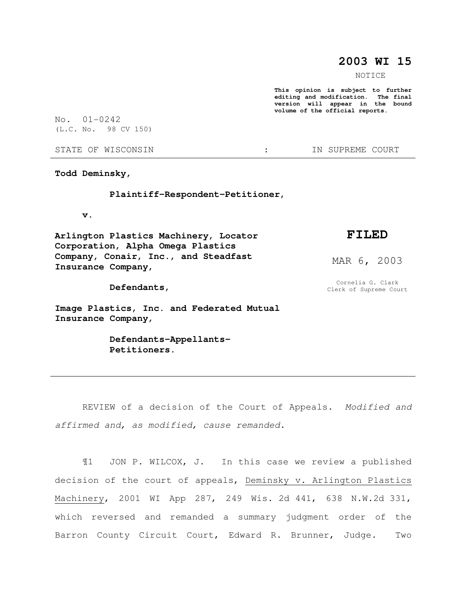## **2003 WI 15**

NOTICE

**This opinion is subject to further editing and modification. The final version will appear in the bound volume of the official reports.** 

No. 01-0242 (L.C. No. 98 CV 150)

STATE OF WISCONSIN  $\cdot$   $\cdot$  in Supreme court

**Todd Deminsky,** 

 **Plaintiff-Respondent-Petitioner,** 

 **v.** 

**Arlington Plastics Machinery, Locator Corporation, Alpha Omega Plastics Company, Conair, Inc., and Steadfast Insurance Company,** 

 **Defendants,** 

**Image Plastics, Inc. and Federated Mutual Insurance Company,** 

> **Defendants-Appellants- Petitioners.**

## **FILED**

MAR 6, 2003

Cornelia G. Clark Clerk of Supreme Court

REVIEW of a decision of the Court of Appeals. Modified and affirmed and, as modified, cause remanded.

¶1 JON P. WILCOX, J. In this case we review a published decision of the court of appeals, Deminsky v. Arlington Plastics Machinery, 2001 WI App 287, 249 Wis. 2d 441, 638 N.W.2d 331, which reversed and remanded a summary judgment order of the Barron County Circuit Court, Edward R. Brunner, Judge. Two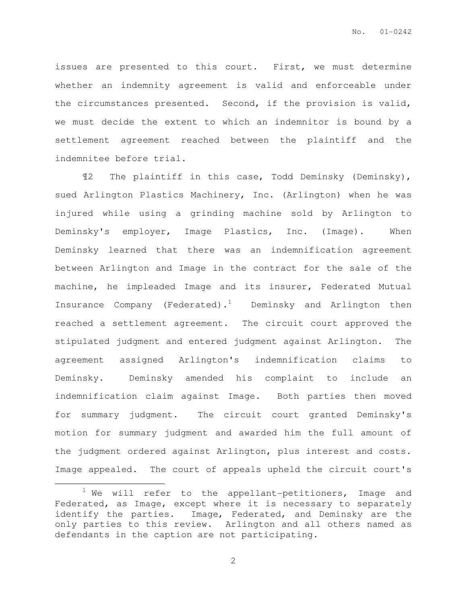issues are presented to this court. First, we must determine whether an indemnity agreement is valid and enforceable under the circumstances presented. Second, if the provision is valid, we must decide the extent to which an indemnitor is bound by a settlement agreement reached between the plaintiff and the indemnitee before trial.

¶2 The plaintiff in this case, Todd Deminsky (Deminsky), sued Arlington Plastics Machinery, Inc. (Arlington) when he was injured while using a grinding machine sold by Arlington to Deminsky's employer, Image Plastics, Inc. (Image). When Deminsky learned that there was an indemnification agreement between Arlington and Image in the contract for the sale of the machine, he impleaded Image and its insurer, Federated Mutual Insurance Company (Federated).<sup>1</sup> Deminsky and Arlington then reached a settlement agreement. The circuit court approved the stipulated judgment and entered judgment against Arlington. The agreement assigned Arlington's indemnification claims to Deminsky. Deminsky amended his complaint to include an indemnification claim against Image. Both parties then moved for summary judgment. The circuit court granted Deminsky's motion for summary judgment and awarded him the full amount of the judgment ordered against Arlington, plus interest and costs. Image appealed. The court of appeals upheld the circuit court's

 $\overline{a}$ 

 $1$  We will refer to the appellant-petitioners, Image and Federated, as Image, except where it is necessary to separately identify the parties. Image, Federated, and Deminsky are the only parties to this review. Arlington and all others named as defendants in the caption are not participating.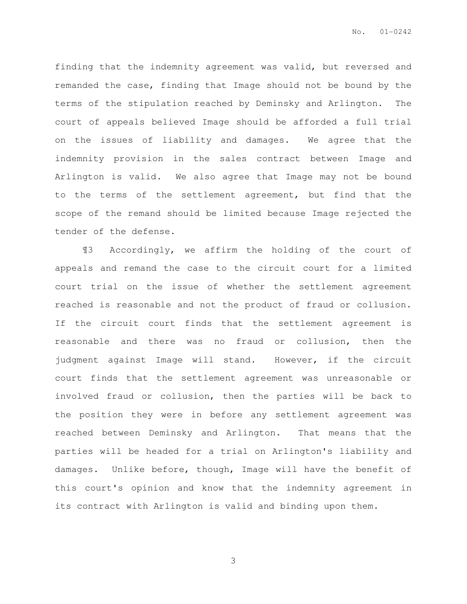finding that the indemnity agreement was valid, but reversed and remanded the case, finding that Image should not be bound by the terms of the stipulation reached by Deminsky and Arlington. The court of appeals believed Image should be afforded a full trial on the issues of liability and damages. We agree that the indemnity provision in the sales contract between Image and Arlington is valid. We also agree that Image may not be bound to the terms of the settlement agreement, but find that the scope of the remand should be limited because Image rejected the tender of the defense.

¶3 Accordingly, we affirm the holding of the court of appeals and remand the case to the circuit court for a limited court trial on the issue of whether the settlement agreement reached is reasonable and not the product of fraud or collusion. If the circuit court finds that the settlement agreement is reasonable and there was no fraud or collusion, then the judgment against Image will stand. However, if the circuit court finds that the settlement agreement was unreasonable or involved fraud or collusion, then the parties will be back to the position they were in before any settlement agreement was reached between Deminsky and Arlington. That means that the parties will be headed for a trial on Arlington's liability and damages. Unlike before, though, Image will have the benefit of this court's opinion and know that the indemnity agreement in its contract with Arlington is valid and binding upon them.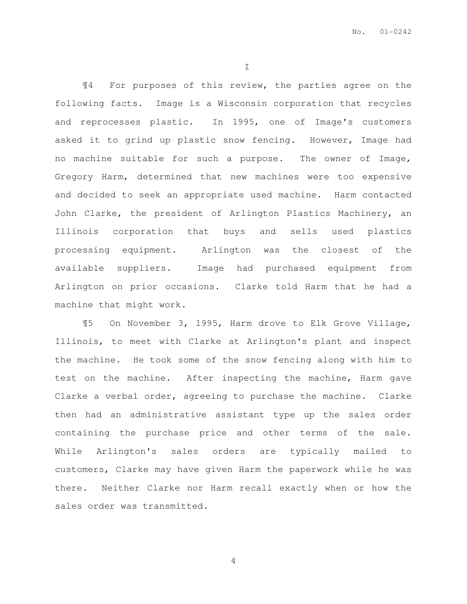I

¶4 For purposes of this review, the parties agree on the following facts. Image is a Wisconsin corporation that recycles and reprocesses plastic. In 1995, one of Image's customers asked it to grind up plastic snow fencing. However, Image had no machine suitable for such a purpose. The owner of Image, Gregory Harm, determined that new machines were too expensive and decided to seek an appropriate used machine. Harm contacted John Clarke, the president of Arlington Plastics Machinery, an Illinois corporation that buys and sells used plastics processing equipment. Arlington was the closest of the available suppliers. Image had purchased equipment from Arlington on prior occasions. Clarke told Harm that he had a machine that might work.

¶5 On November 3, 1995, Harm drove to Elk Grove Village, Illinois, to meet with Clarke at Arlington's plant and inspect the machine. He took some of the snow fencing along with him to test on the machine. After inspecting the machine, Harm gave Clarke a verbal order, agreeing to purchase the machine. Clarke then had an administrative assistant type up the sales order containing the purchase price and other terms of the sale. While Arlington's sales orders are typically mailed to customers, Clarke may have given Harm the paperwork while he was there. Neither Clarke nor Harm recall exactly when or how the sales order was transmitted.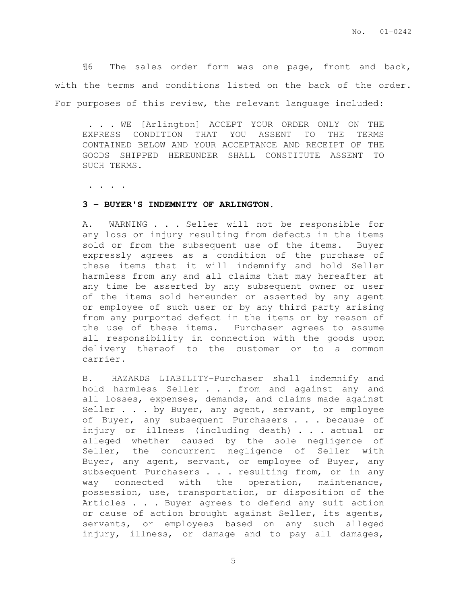¶6 The sales order form was one page, front and back, with the terms and conditions listed on the back of the order. For purposes of this review, the relevant language included:

 . . . WE [Arlington] ACCEPT YOUR ORDER ONLY ON THE EXPRESS CONDITION THAT YOU ASSENT TO THE TERMS CONTAINED BELOW AND YOUR ACCEPTANCE AND RECEIPT OF THE GOODS SHIPPED HEREUNDER SHALL CONSTITUTE ASSENT TO SUCH TERMS.

. . . .

#### **3 - BUYER'S INDEMNITY OF ARLINGTON.**

A. WARNING . . . Seller will not be responsible for any loss or injury resulting from defects in the items sold or from the subsequent use of the items. Buyer expressly agrees as a condition of the purchase of these items that it will indemnify and hold Seller harmless from any and all claims that may hereafter at any time be asserted by any subsequent owner or user of the items sold hereunder or asserted by any agent or employee of such user or by any third party arising from any purported defect in the items or by reason of the use of these items. Purchaser agrees to assume all responsibility in connection with the goods upon delivery thereof to the customer or to a common carrier.

B. HAZARDS LIABILITY-Purchaser shall indemnify and hold harmless Seller . . . from and against any and all losses, expenses, demands, and claims made against Seller . . . by Buyer, any agent, servant, or employee of Buyer, any subsequent Purchasers . . . because of injury or illness (including death) . . . actual or alleged whether caused by the sole negligence of Seller, the concurrent negligence of Seller with Buyer, any agent, servant, or employee of Buyer, any subsequent Purchasers . . . resulting from, or in any way connected with the operation, maintenance, possession, use, transportation, or disposition of the Articles . . . Buyer agrees to defend any suit action or cause of action brought against Seller, its agents, servants, or employees based on any such alleged injury, illness, or damage and to pay all damages,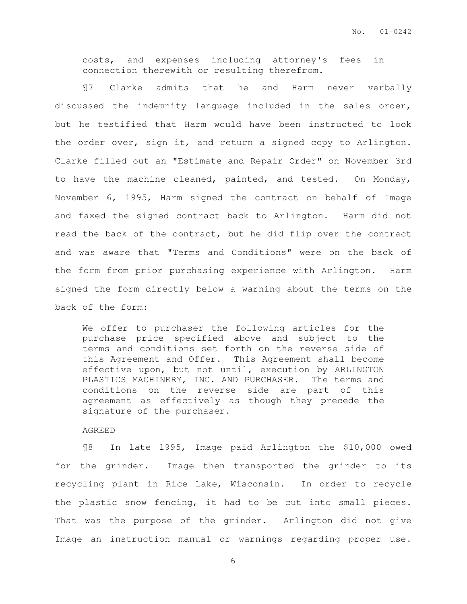costs, and expenses including attorney's fees in connection therewith or resulting therefrom.

¶7 Clarke admits that he and Harm never verbally discussed the indemnity language included in the sales order, but he testified that Harm would have been instructed to look the order over, sign it, and return a signed copy to Arlington. Clarke filled out an "Estimate and Repair Order" on November 3rd to have the machine cleaned, painted, and tested. On Monday, November 6, 1995, Harm signed the contract on behalf of Image and faxed the signed contract back to Arlington. Harm did not read the back of the contract, but he did flip over the contract and was aware that "Terms and Conditions" were on the back of the form from prior purchasing experience with Arlington. Harm signed the form directly below a warning about the terms on the back of the form:

We offer to purchaser the following articles for the purchase price specified above and subject to the terms and conditions set forth on the reverse side of this Agreement and Offer. This Agreement shall become effective upon, but not until, execution by ARLINGTON PLASTICS MACHINERY, INC. AND PURCHASER. The terms and conditions on the reverse side are part of this agreement as effectively as though they precede the signature of the purchaser.

AGREED

¶8 In late 1995, Image paid Arlington the \$10,000 owed for the grinder. Image then transported the grinder to its recycling plant in Rice Lake, Wisconsin. In order to recycle the plastic snow fencing, it had to be cut into small pieces. That was the purpose of the grinder. Arlington did not give Image an instruction manual or warnings regarding proper use.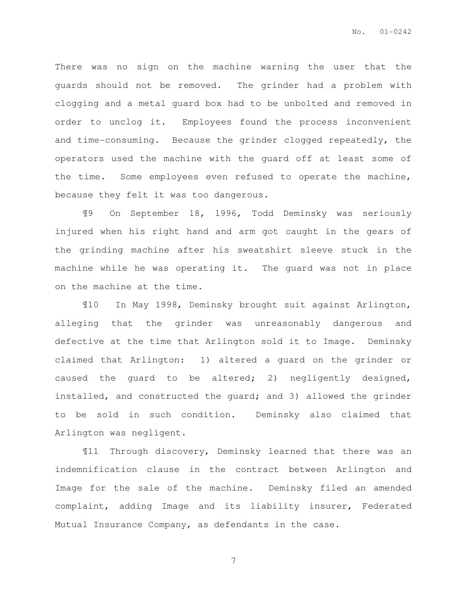There was no sign on the machine warning the user that the guards should not be removed. The grinder had a problem with clogging and a metal guard box had to be unbolted and removed in order to unclog it. Employees found the process inconvenient and time-consuming. Because the grinder clogged repeatedly, the operators used the machine with the guard off at least some of the time. Some employees even refused to operate the machine, because they felt it was too dangerous.

¶9 On September 18, 1996, Todd Deminsky was seriously injured when his right hand and arm got caught in the gears of the grinding machine after his sweatshirt sleeve stuck in the machine while he was operating it. The guard was not in place on the machine at the time.

¶10 In May 1998, Deminsky brought suit against Arlington, alleging that the grinder was unreasonably dangerous and defective at the time that Arlington sold it to Image. Deminsky claimed that Arlington: 1) altered a guard on the grinder or caused the guard to be altered; 2) negligently designed, installed, and constructed the guard; and 3) allowed the grinder to be sold in such condition. Deminsky also claimed that Arlington was negligent.

¶11 Through discovery, Deminsky learned that there was an indemnification clause in the contract between Arlington and Image for the sale of the machine. Deminsky filed an amended complaint, adding Image and its liability insurer, Federated Mutual Insurance Company, as defendants in the case.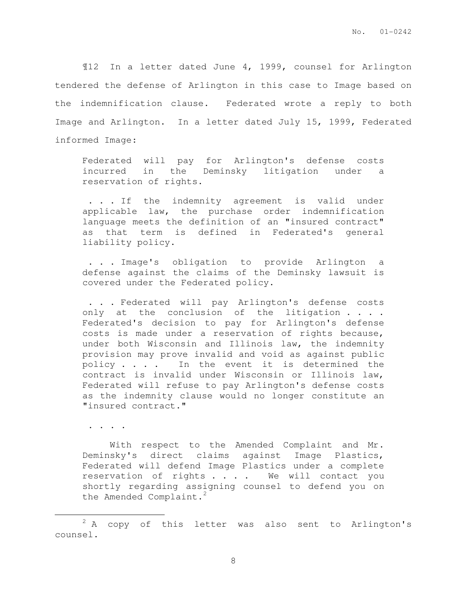¶12 In a letter dated June 4, 1999, counsel for Arlington tendered the defense of Arlington in this case to Image based on the indemnification clause. Federated wrote a reply to both Image and Arlington. In a letter dated July 15, 1999, Federated informed Image:

Federated will pay for Arlington's defense costs incurred in the Deminsky litigation under a reservation of rights.

 . . . If the indemnity agreement is valid under applicable law, the purchase order indemnification language meets the definition of an "insured contract" as that term is defined in Federated's general liability policy.

 . . . Image's obligation to provide Arlington a defense against the claims of the Deminsky lawsuit is covered under the Federated policy.

 . . . Federated will pay Arlington's defense costs only at the conclusion of the litigation . . . . Federated's decision to pay for Arlington's defense costs is made under a reservation of rights because, under both Wisconsin and Illinois law, the indemnity provision may prove invalid and void as against public policy . . . . In the event it is determined the contract is invalid under Wisconsin or Illinois law, Federated will refuse to pay Arlington's defense costs as the indemnity clause would no longer constitute an "insured contract."

. . . .

 $\overline{a}$ 

 With respect to the Amended Complaint and Mr. Deminsky's direct claims against Image Plastics, Federated will defend Image Plastics under a complete reservation of rights . . . . We will contact you shortly regarding assigning counsel to defend you on the Amended Complaint.<sup>2</sup>

 $2 A$  copy of this letter was also sent to Arlington's counsel.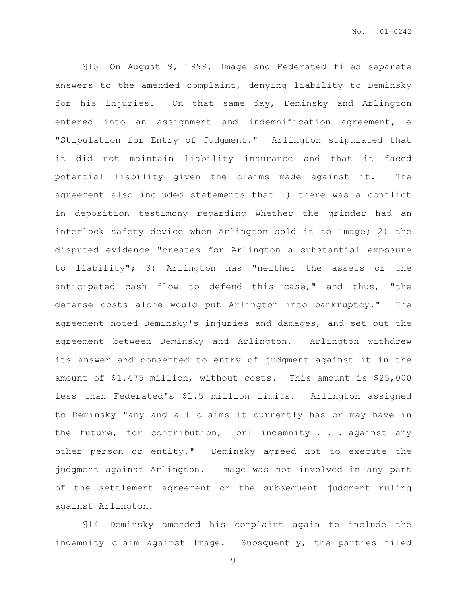¶13 On August 9, 1999, Image and Federated filed separate answers to the amended complaint, denying liability to Deminsky for his injuries. On that same day, Deminsky and Arlington entered into an assignment and indemnification agreement, a "Stipulation for Entry of Judgment." Arlington stipulated that it did not maintain liability insurance and that it faced potential liability given the claims made against it. The agreement also included statements that 1) there was a conflict in deposition testimony regarding whether the grinder had an interlock safety device when Arlington sold it to Image; 2) the disputed evidence "creates for Arlington a substantial exposure to liability"; 3) Arlington has "neither the assets or the anticipated cash flow to defend this case," and thus, "the defense costs alone would put Arlington into bankruptcy." The agreement noted Deminsky's injuries and damages, and set out the agreement between Deminsky and Arlington. Arlington withdrew its answer and consented to entry of judgment against it in the amount of \$1.475 million, without costs. This amount is \$25,000 less than Federated's \$1.5 million limits. Arlington assigned to Deminsky "any and all claims it currently has or may have in the future, for contribution, [or] indemnity . . . against any other person or entity." Deminsky agreed not to execute the judgment against Arlington. Image was not involved in any part of the settlement agreement or the subsequent judgment ruling against Arlington.

¶14 Deminsky amended his complaint again to include the indemnity claim against Image. Subsquently, the parties filed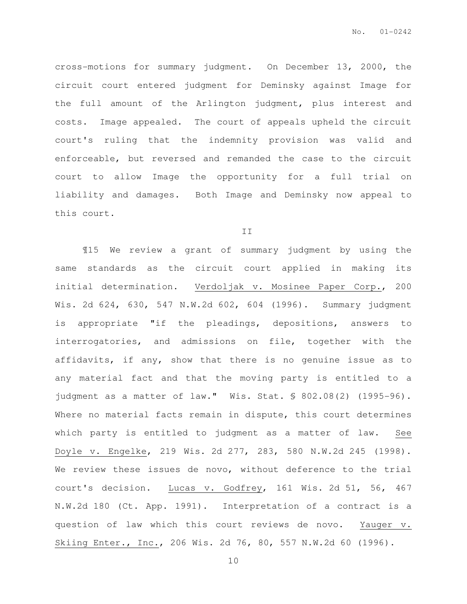cross-motions for summary judgment. On December 13, 2000, the circuit court entered judgment for Deminsky against Image for the full amount of the Arlington judgment, plus interest and costs. Image appealed. The court of appeals upheld the circuit court's ruling that the indemnity provision was valid and enforceable, but reversed and remanded the case to the circuit court to allow Image the opportunity for a full trial on liability and damages. Both Image and Deminsky now appeal to this court.

### II

¶15 We review a grant of summary judgment by using the same standards as the circuit court applied in making its initial determination. Verdoljak v. Mosinee Paper Corp., 200 Wis. 2d 624, 630, 547 N.W.2d 602, 604 (1996). Summary judgment is appropriate "if the pleadings, depositions, answers to interrogatories, and admissions on file, together with the affidavits, if any, show that there is no genuine issue as to any material fact and that the moving party is entitled to a judgment as a matter of law." Wis. Stat. § 802.08(2) (1995-96). Where no material facts remain in dispute, this court determines which party is entitled to judgment as a matter of law. See Doyle v. Engelke, 219 Wis. 2d 277, 283, 580 N.W.2d 245 (1998). We review these issues de novo, without deference to the trial court's decision. Lucas v. Godfrey, 161 Wis. 2d 51, 56, 467 N.W.2d 180 (Ct. App. 1991). Interpretation of a contract is a question of law which this court reviews de novo. Yauger v. Skiing Enter., Inc., 206 Wis. 2d 76, 80, 557 N.W.2d 60 (1996).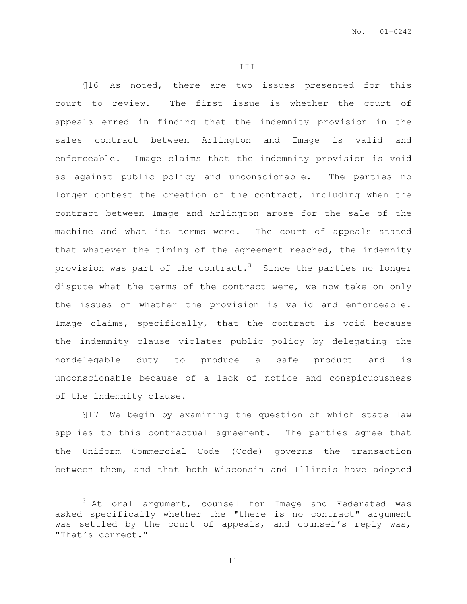III

¶16 As noted, there are two issues presented for this court to review. The first issue is whether the court of appeals erred in finding that the indemnity provision in the sales contract between Arlington and Image is valid and enforceable. Image claims that the indemnity provision is void as against public policy and unconscionable. The parties no longer contest the creation of the contract, including when the contract between Image and Arlington arose for the sale of the machine and what its terms were. The court of appeals stated that whatever the timing of the agreement reached, the indemnity provision was part of the contract.<sup>3</sup> Since the parties no longer dispute what the terms of the contract were, we now take on only the issues of whether the provision is valid and enforceable. Image claims, specifically, that the contract is void because the indemnity clause violates public policy by delegating the nondelegable duty to produce a safe product and is unconscionable because of a lack of notice and conspicuousness of the indemnity clause.

¶17 We begin by examining the question of which state law applies to this contractual agreement. The parties agree that the Uniform Commercial Code (Code) governs the transaction between them, and that both Wisconsin and Illinois have adopted

 $\overline{a}$ 

<sup>&</sup>lt;sup>3</sup> At oral argument, counsel for Image and Federated was asked specifically whether the "there is no contract" argument was settled by the court of appeals, and counsel's reply was, "That's correct."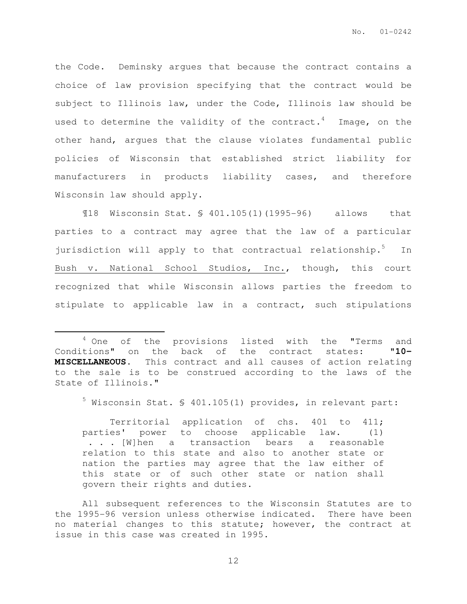the Code. Deminsky argues that because the contract contains a choice of law provision specifying that the contract would be subject to Illinois law, under the Code, Illinois law should be used to determine the validity of the contract.<sup>4</sup> Image, on the other hand, argues that the clause violates fundamental public policies of Wisconsin that established strict liability for manufacturers in products liability cases, and therefore Wisconsin law should apply.

¶18 Wisconsin Stat. § 401.105(1)(1995-96) allows that parties to a contract may agree that the law of a particular jurisdiction will apply to that contractual relationship.<sup>5</sup> In Bush v. National School Studios, Inc., though, this court recognized that while Wisconsin allows parties the freedom to stipulate to applicable law in a contract, such stipulations

 $\overline{a}$ 

 $^5$  Wisconsin Stat. § 401.105(1) provides, in relevant part:

 Territorial application of chs. 401 to 411; parties' power to choose applicable law. (1) . . . [W]hen a transaction bears a reasonable relation to this state and also to another state or nation the parties may agree that the law either of this state or of such other state or nation shall govern their rights and duties.

All subsequent references to the Wisconsin Statutes are to the 1995-96 version unless otherwise indicated. There have been no material changes to this statute; however, the contract at issue in this case was created in 1995.

<sup>&</sup>lt;sup>4</sup> One of the provisions listed with the "Terms and Conditions" on the back of the contract states: "**10- MISCELLANEOUS**. This contract and all causes of action relating to the sale is to be construed according to the laws of the State of Illinois."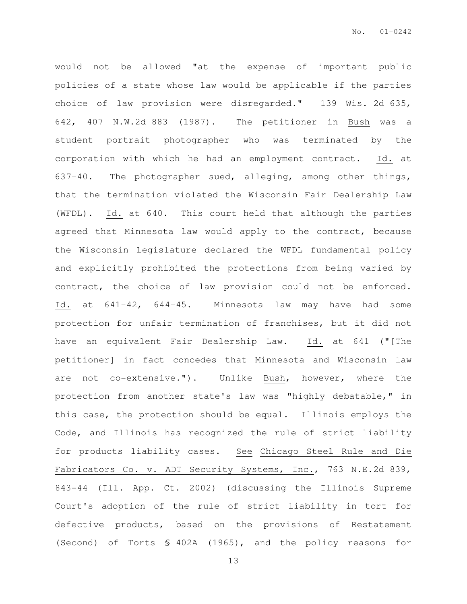would not be allowed "at the expense of important public policies of a state whose law would be applicable if the parties choice of law provision were disregarded." 139 Wis. 2d 635, 642, 407 N.W.2d 883 (1987). The petitioner in Bush was a student portrait photographer who was terminated by the corporation with which he had an employment contract. Id. at 637-40. The photographer sued, alleging, among other things, that the termination violated the Wisconsin Fair Dealership Law (WFDL). Id. at 640. This court held that although the parties agreed that Minnesota law would apply to the contract, because the Wisconsin Legislature declared the WFDL fundamental policy and explicitly prohibited the protections from being varied by contract, the choice of law provision could not be enforced. Id. at 641-42, 644-45. Minnesota law may have had some protection for unfair termination of franchises, but it did not have an equivalent Fair Dealership Law. Id. at 641 ("[The petitioner] in fact concedes that Minnesota and Wisconsin law are not co-extensive."). Unlike Bush, however, where the protection from another state's law was "highly debatable," in this case, the protection should be equal. Illinois employs the Code, and Illinois has recognized the rule of strict liability for products liability cases. See Chicago Steel Rule and Die Fabricators Co. v. ADT Security Systems, Inc., 763 N.E.2d 839, 843-44 (Ill. App. Ct. 2002) (discussing the Illinois Supreme Court's adoption of the rule of strict liability in tort for defective products, based on the provisions of Restatement (Second) of Torts § 402A (1965), and the policy reasons for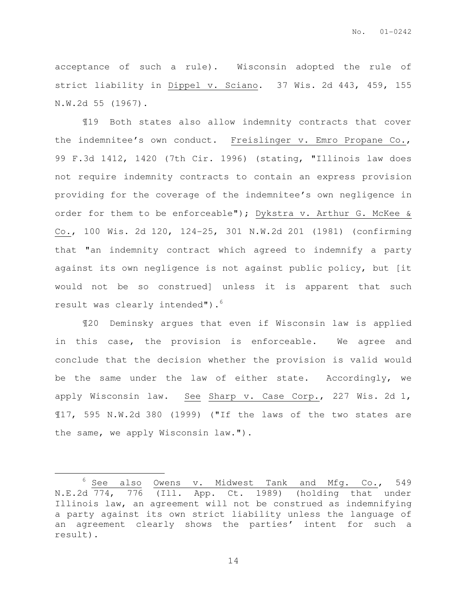acceptance of such a rule). Wisconsin adopted the rule of strict liability in Dippel v. Sciano. 37 Wis. 2d 443, 459, 155 N.W.2d 55 (1967).

¶19 Both states also allow indemnity contracts that cover the indemnitee's own conduct. Freislinger v. Emro Propane Co., 99 F.3d 1412, 1420 (7th Cir. 1996) (stating, "Illinois law does not require indemnity contracts to contain an express provision providing for the coverage of the indemnitee's own negligence in order for them to be enforceable"); Dykstra v. Arthur G. McKee & Co., 100 Wis. 2d 120, 124-25, 301 N.W.2d 201 (1981) (confirming that "an indemnity contract which agreed to indemnify a party against its own negligence is not against public policy, but [it would not be so construed] unless it is apparent that such result was clearly intended").<sup>6</sup>

¶20 Deminsky argues that even if Wisconsin law is applied in this case, the provision is enforceable. We agree and conclude that the decision whether the provision is valid would be the same under the law of either state. Accordingly, we apply Wisconsin law. See Sharp v. Case Corp., 227 Wis. 2d 1, ¶17, 595 N.W.2d 380 (1999) ("If the laws of the two states are the same, we apply Wisconsin law.").

 $\overline{a}$ 

 $6$  See also Owens v. Midwest Tank and Mfg. Co., 549 N.E.2d 774, 776 (Ill. App. Ct. 1989) (holding that under Illinois law, an agreement will not be construed as indemnifying a party against its own strict liability unless the language of an agreement clearly shows the parties' intent for such a result).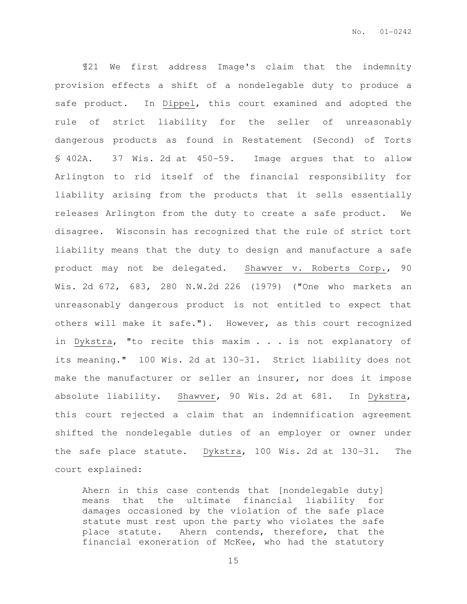¶21 We first address Image's claim that the indemnity provision effects a shift of a nondelegable duty to produce a safe product. In Dippel, this court examined and adopted the rule of strict liability for the seller of unreasonably dangerous products as found in Restatement (Second) of Torts § 402A. 37 Wis. 2d at 450-59. Image argues that to allow Arlington to rid itself of the financial responsibility for liability arising from the products that it sells essentially releases Arlington from the duty to create a safe product. We disagree. Wisconsin has recognized that the rule of strict tort liability means that the duty to design and manufacture a safe product may not be delegated. Shawver v. Roberts Corp., 90 Wis. 2d 672, 683, 280 N.W.2d 226 (1979) ("One who markets an unreasonably dangerous product is not entitled to expect that others will make it safe."). However, as this court recognized in Dykstra, "to recite this maxim . . . is not explanatory of its meaning." 100 Wis. 2d at 130-31. Strict liability does not make the manufacturer or seller an insurer, nor does it impose absolute liability. Shawver, 90 Wis. 2d at 681. In Dykstra, this court rejected a claim that an indemnification agreement shifted the nondelegable duties of an employer or owner under the safe place statute. Dykstra, 100 Wis. 2d at 130-31. The court explained:

Ahern in this case contends that [nondelegable duty] means that the ultimate financial liability for damages occasioned by the violation of the safe place statute must rest upon the party who violates the safe place statute. Ahern contends, therefore, that the financial exoneration of McKee, who had the statutory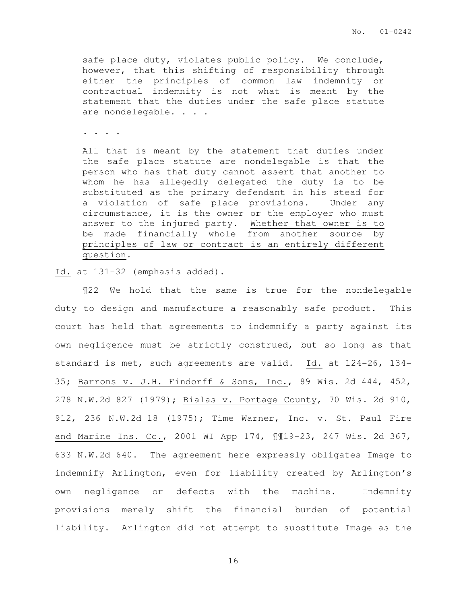safe place duty, violates public policy. We conclude, however, that this shifting of responsibility through either the principles of common law indemnity or contractual indemnity is not what is meant by the statement that the duties under the safe place statute are nondelegable. . . .

. . . .

All that is meant by the statement that duties under the safe place statute are nondelegable is that the person who has that duty cannot assert that another to whom he has allegedly delegated the duty is to be substituted as the primary defendant in his stead for a violation of safe place provisions. Under any circumstance, it is the owner or the employer who must answer to the injured party. Whether that owner is to be made financially whole from another source by principles of law or contract is an entirely different question.

Id. at 131-32 (emphasis added).

¶22 We hold that the same is true for the nondelegable duty to design and manufacture a reasonably safe product. This court has held that agreements to indemnify a party against its own negligence must be strictly construed, but so long as that standard is met, such agreements are valid. Id. at 124-26, 134- 35; Barrons v. J.H. Findorff & Sons, Inc., 89 Wis. 2d 444, 452, 278 N.W.2d 827 (1979); Bialas v. Portage County, 70 Wis. 2d 910, 912, 236 N.W.2d 18 (1975); Time Warner, Inc. v. St. Paul Fire and Marine Ins. Co., 2001 WI App 174, ¶¶19-23, 247 Wis. 2d 367, 633 N.W.2d 640. The agreement here expressly obligates Image to indemnify Arlington, even for liability created by Arlington's own negligence or defects with the machine. Indemnity provisions merely shift the financial burden of potential liability. Arlington did not attempt to substitute Image as the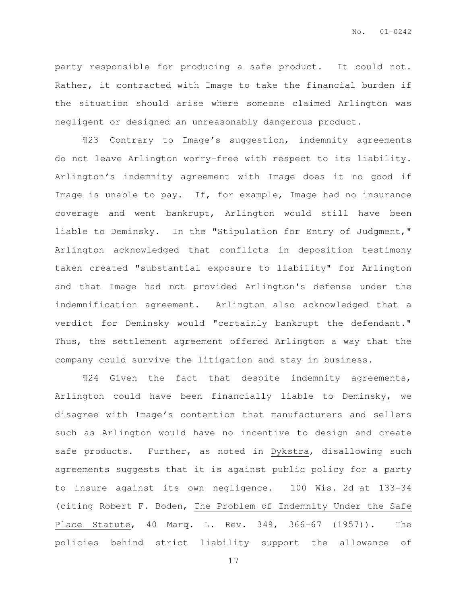party responsible for producing a safe product. It could not. Rather, it contracted with Image to take the financial burden if the situation should arise where someone claimed Arlington was negligent or designed an unreasonably dangerous product.

¶23 Contrary to Image's suggestion, indemnity agreements do not leave Arlington worry-free with respect to its liability. Arlington's indemnity agreement with Image does it no good if Image is unable to pay. If, for example, Image had no insurance coverage and went bankrupt, Arlington would still have been liable to Deminsky. In the "Stipulation for Entry of Judgment," Arlington acknowledged that conflicts in deposition testimony taken created "substantial exposure to liability" for Arlington and that Image had not provided Arlington's defense under the indemnification agreement. Arlington also acknowledged that a verdict for Deminsky would "certainly bankrupt the defendant." Thus, the settlement agreement offered Arlington a way that the company could survive the litigation and stay in business.

¶24 Given the fact that despite indemnity agreements, Arlington could have been financially liable to Deminsky, we disagree with Image's contention that manufacturers and sellers such as Arlington would have no incentive to design and create safe products. Further, as noted in Dykstra, disallowing such agreements suggests that it is against public policy for a party to insure against its own negligence. 100 Wis. 2d at 133-34 (citing Robert F. Boden, The Problem of Indemnity Under the Safe Place Statute, 40 Marq. L. Rev. 349, 366-67 (1957)). The policies behind strict liability support the allowance of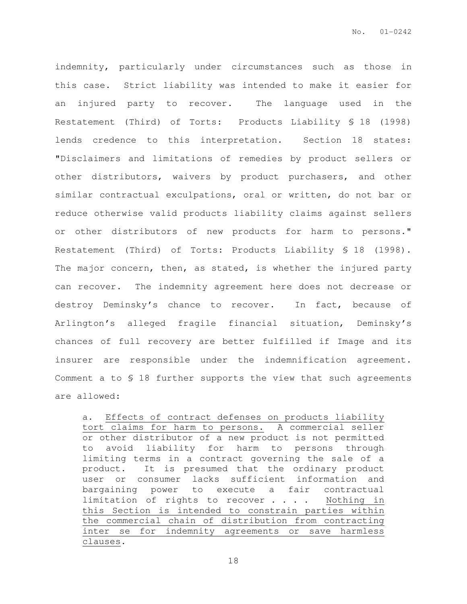indemnity, particularly under circumstances such as those in this case. Strict liability was intended to make it easier for an injured party to recover. The language used in the Restatement (Third) of Torts: Products Liability § 18 (1998) lends credence to this interpretation. Section 18 states: "Disclaimers and limitations of remedies by product sellers or other distributors, waivers by product purchasers, and other similar contractual exculpations, oral or written, do not bar or reduce otherwise valid products liability claims against sellers or other distributors of new products for harm to persons." Restatement (Third) of Torts: Products Liability § 18 (1998). The major concern, then, as stated, is whether the injured party can recover. The indemnity agreement here does not decrease or destroy Deminsky's chance to recover. In fact, because of Arlington's alleged fragile financial situation, Deminsky's chances of full recovery are better fulfilled if Image and its insurer are responsible under the indemnification agreement. Comment a to § 18 further supports the view that such agreements are allowed:

a. Effects of contract defenses on products liability tort claims for harm to persons. A commercial seller or other distributor of a new product is not permitted to avoid liability for harm to persons through limiting terms in a contract governing the sale of a product. It is presumed that the ordinary product user or consumer lacks sufficient information and bargaining power to execute a fair contractual limitation of rights to recover . . . . Nothing in this Section is intended to constrain parties within the commercial chain of distribution from contracting inter se for indemnity agreements or save harmless clauses.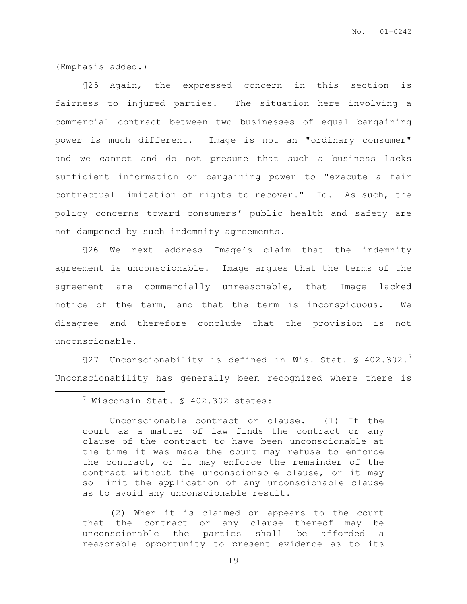(Emphasis added.)

 $\overline{a}$ 

¶25 Again, the expressed concern in this section is fairness to injured parties. The situation here involving a commercial contract between two businesses of equal bargaining power is much different. Image is not an "ordinary consumer" and we cannot and do not presume that such a business lacks sufficient information or bargaining power to "execute a fair contractual limitation of rights to recover." Id. As such, the policy concerns toward consumers' public health and safety are not dampened by such indemnity agreements.

¶26 We next address Image's claim that the indemnity agreement is unconscionable. Image argues that the terms of the agreement are commercially unreasonable, that Image lacked notice of the term, and that the term is inconspicuous. We disagree and therefore conclude that the provision is not unconscionable.

 $\P$ 27 Unconscionability is defined in Wis. Stat. § 402.302.<sup>7</sup> Unconscionability has generally been recognized where there is

(2) When it is claimed or appears to the court that the contract or any clause thereof may be unconscionable the parties shall be afforded a reasonable opportunity to present evidence as to its

<sup>7</sup> Wisconsin Stat. § 402.302 states:

Unconscionable contract or clause. (1) If the court as a matter of law finds the contract or any clause of the contract to have been unconscionable at the time it was made the court may refuse to enforce the contract, or it may enforce the remainder of the contract without the unconscionable clause, or it may so limit the application of any unconscionable clause as to avoid any unconscionable result.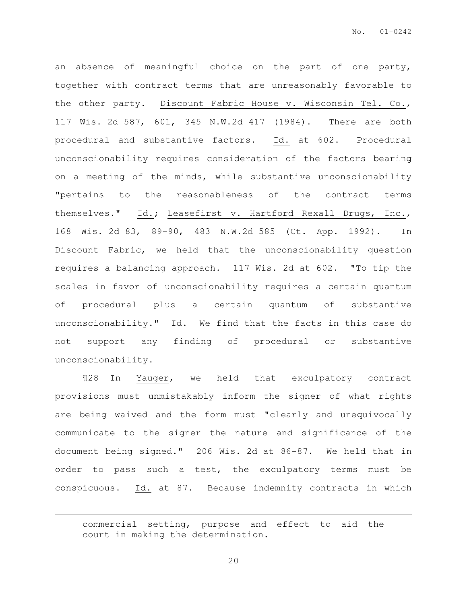an absence of meaningful choice on the part of one party, together with contract terms that are unreasonably favorable to the other party. Discount Fabric House v. Wisconsin Tel. Co., 117 Wis. 2d 587, 601, 345 N.W.2d 417 (1984). There are both procedural and substantive factors. Id. at 602. Procedural unconscionability requires consideration of the factors bearing on a meeting of the minds, while substantive unconscionability "pertains to the reasonableness of the contract terms themselves." Id.; Leasefirst v. Hartford Rexall Drugs, Inc., 168 Wis. 2d 83, 89-90, 483 N.W.2d 585 (Ct. App. 1992). In Discount Fabric, we held that the unconscionability question requires a balancing approach. 117 Wis. 2d at 602. "To tip the scales in favor of unconscionability requires a certain quantum of procedural plus a certain quantum of substantive unconscionability." Id. We find that the facts in this case do not support any finding of procedural or substantive unconscionability.

¶28 In Yauger, we held that exculpatory contract provisions must unmistakably inform the signer of what rights are being waived and the form must "clearly and unequivocally communicate to the signer the nature and significance of the document being signed." 206 Wis. 2d at 86-87. We held that in order to pass such a test, the exculpatory terms must be conspicuous. Id. at 87. Because indemnity contracts in which

 $\overline{a}$ 

commercial setting, purpose and effect to aid the court in making the determination.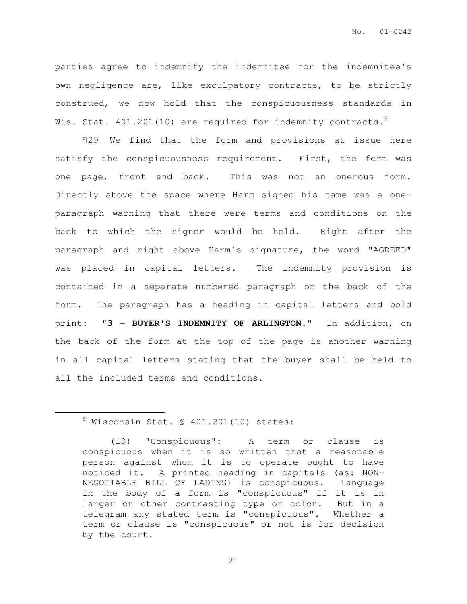parties agree to indemnify the indemnitee for the indemnitee's own negligence are, like exculpatory contracts, to be strictly construed, we now hold that the conspicuousness standards in Wis. Stat.  $401.201(10)$  are required for indemnity contracts.<sup>8</sup>

¶29 We find that the form and provisions at issue here satisfy the conspicuousness requirement. First, the form was one page, front and back. This was not an onerous form. Directly above the space where Harm signed his name was a oneparagraph warning that there were terms and conditions on the back to which the signer would be held. Right after the paragraph and right above Harm's signature, the word "AGREED" was placed in capital letters. The indemnity provision is contained in a separate numbered paragraph on the back of the form. The paragraph has a heading in capital letters and bold print: "**3 - BUYER'S INDEMNITY OF ARLINGTON.**" In addition, on the back of the form at the top of the page is another warning in all capital letters stating that the buyer shall be held to all the included terms and conditions.

 $\overline{a}$ 

 $8$  Wisconsin Stat.  $\frac{1}{2}$  401.201(10) states:

<sup>(10) &</sup>quot;Conspicuous": A term or clause is conspicuous when it is so written that a reasonable person against whom it is to operate ought to have noticed it. A printed heading in capitals (as: NON-NEGOTIABLE BILL OF LADING) is conspicuous. Language in the body of a form is "conspicuous" if it is in larger or other contrasting type or color. But in a telegram any stated term is "conspicuous". Whether a term or clause is "conspicuous" or not is for decision by the court.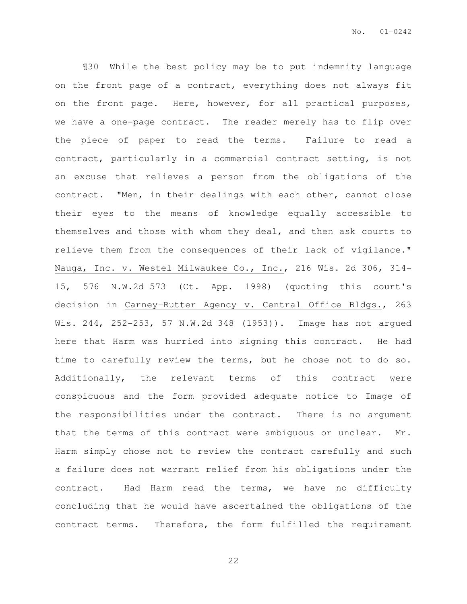¶30 While the best policy may be to put indemnity language on the front page of a contract, everything does not always fit on the front page. Here, however, for all practical purposes, we have a one-page contract. The reader merely has to flip over the piece of paper to read the terms. Failure to read a contract, particularly in a commercial contract setting, is not an excuse that relieves a person from the obligations of the contract. "Men, in their dealings with each other, cannot close their eyes to the means of knowledge equally accessible to themselves and those with whom they deal, and then ask courts to relieve them from the consequences of their lack of vigilance." Nauga, Inc. v. Westel Milwaukee Co., Inc., 216 Wis. 2d 306, 314- 15, 576 N.W.2d 573 (Ct. App. 1998) (quoting this court's decision in Carney-Rutter Agency v. Central Office Bldgs., 263 Wis. 244, 252-253, 57 N.W.2d 348 (1953)). Image has not argued here that Harm was hurried into signing this contract. He had time to carefully review the terms, but he chose not to do so. Additionally, the relevant terms of this contract were conspicuous and the form provided adequate notice to Image of the responsibilities under the contract. There is no argument that the terms of this contract were ambiguous or unclear. Mr. Harm simply chose not to review the contract carefully and such a failure does not warrant relief from his obligations under the contract. Had Harm read the terms, we have no difficulty concluding that he would have ascertained the obligations of the contract terms. Therefore, the form fulfilled the requirement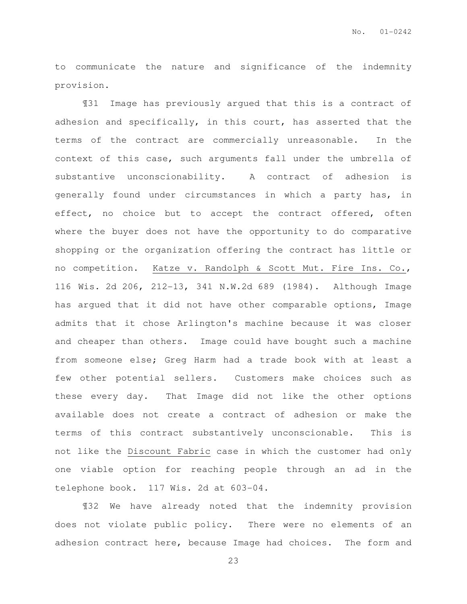to communicate the nature and significance of the indemnity provision.

¶31 Image has previously argued that this is a contract of adhesion and specifically, in this court, has asserted that the terms of the contract are commercially unreasonable. In the context of this case, such arguments fall under the umbrella of substantive unconscionability. A contract of adhesion is generally found under circumstances in which a party has, in effect, no choice but to accept the contract offered, often where the buyer does not have the opportunity to do comparative shopping or the organization offering the contract has little or no competition. Katze v. Randolph & Scott Mut. Fire Ins. Co., 116 Wis. 2d 206, 212-13, 341 N.W.2d 689 (1984). Although Image has argued that it did not have other comparable options, Image admits that it chose Arlington's machine because it was closer and cheaper than others. Image could have bought such a machine from someone else; Greg Harm had a trade book with at least a few other potential sellers. Customers make choices such as these every day. That Image did not like the other options available does not create a contract of adhesion or make the terms of this contract substantively unconscionable. This is not like the Discount Fabric case in which the customer had only one viable option for reaching people through an ad in the telephone book. 117 Wis. 2d at 603-04.

¶32 We have already noted that the indemnity provision does not violate public policy. There were no elements of an adhesion contract here, because Image had choices. The form and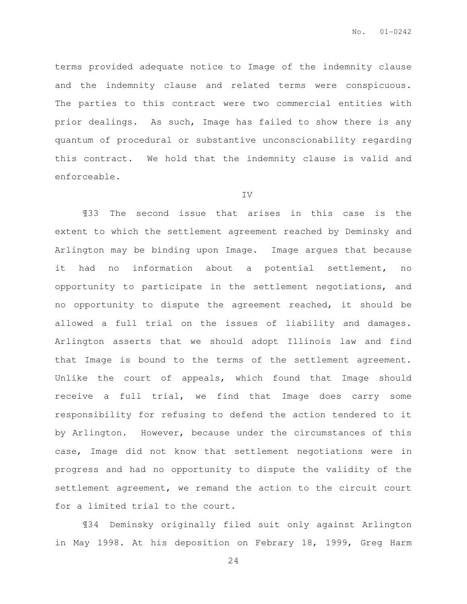terms provided adequate notice to Image of the indemnity clause and the indemnity clause and related terms were conspicuous. The parties to this contract were two commercial entities with prior dealings. As such, Image has failed to show there is any quantum of procedural or substantive unconscionability regarding this contract. We hold that the indemnity clause is valid and enforceable.

#### IV

¶33 The second issue that arises in this case is the extent to which the settlement agreement reached by Deminsky and Arlington may be binding upon Image. Image argues that because it had no information about a potential settlement, no opportunity to participate in the settlement negotiations, and no opportunity to dispute the agreement reached, it should be allowed a full trial on the issues of liability and damages. Arlington asserts that we should adopt Illinois law and find that Image is bound to the terms of the settlement agreement. Unlike the court of appeals, which found that Image should receive a full trial, we find that Image does carry some responsibility for refusing to defend the action tendered to it by Arlington. However, because under the circumstances of this case, Image did not know that settlement negotiations were in progress and had no opportunity to dispute the validity of the settlement agreement, we remand the action to the circuit court for a limited trial to the court.

¶34 Deminsky originally filed suit only against Arlington in May 1998. At his deposition on Febrary 18, 1999, Greg Harm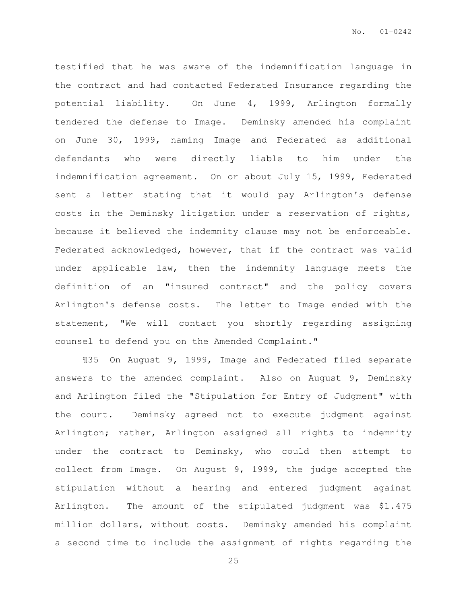testified that he was aware of the indemnification language in the contract and had contacted Federated Insurance regarding the potential liability. On June 4, 1999, Arlington formally tendered the defense to Image. Deminsky amended his complaint on June 30, 1999, naming Image and Federated as additional defendants who were directly liable to him under the indemnification agreement. On or about July 15, 1999, Federated sent a letter stating that it would pay Arlington's defense costs in the Deminsky litigation under a reservation of rights, because it believed the indemnity clause may not be enforceable. Federated acknowledged, however, that if the contract was valid under applicable law, then the indemnity language meets the definition of an "insured contract" and the policy covers Arlington's defense costs. The letter to Image ended with the statement, "We will contact you shortly regarding assigning counsel to defend you on the Amended Complaint."

¶35 On August 9, 1999, Image and Federated filed separate answers to the amended complaint. Also on August 9, Deminsky and Arlington filed the "Stipulation for Entry of Judgment" with the court. Deminsky agreed not to execute judgment against Arlington; rather, Arlington assigned all rights to indemnity under the contract to Deminsky, who could then attempt to collect from Image. On August 9, 1999, the judge accepted the stipulation without a hearing and entered judgment against Arlington. The amount of the stipulated judgment was \$1.475 million dollars, without costs. Deminsky amended his complaint a second time to include the assignment of rights regarding the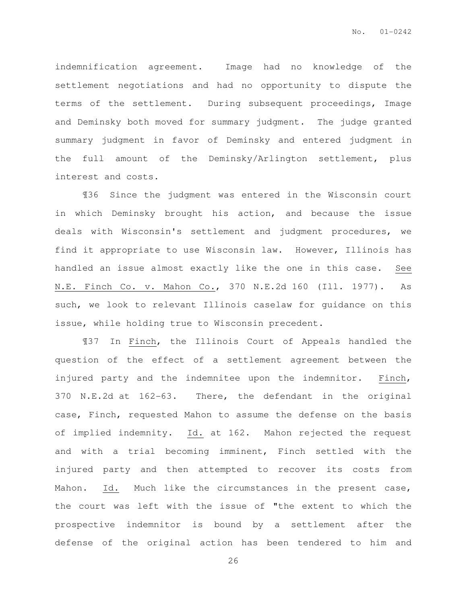indemnification agreement. Image had no knowledge of the settlement negotiations and had no opportunity to dispute the terms of the settlement. During subsequent proceedings, Image and Deminsky both moved for summary judgment. The judge granted summary judgment in favor of Deminsky and entered judgment in the full amount of the Deminsky/Arlington settlement, plus interest and costs.

¶36 Since the judgment was entered in the Wisconsin court in which Deminsky brought his action, and because the issue deals with Wisconsin's settlement and judgment procedures, we find it appropriate to use Wisconsin law. However, Illinois has handled an issue almost exactly like the one in this case. See N.E. Finch Co. v. Mahon Co., 370 N.E.2d 160 (Ill. 1977). As such, we look to relevant Illinois caselaw for guidance on this issue, while holding true to Wisconsin precedent.

¶37 In Finch, the Illinois Court of Appeals handled the question of the effect of a settlement agreement between the injured party and the indemnitee upon the indemnitor. Finch, 370 N.E.2d at 162-63. There, the defendant in the original case, Finch, requested Mahon to assume the defense on the basis of implied indemnity. Id. at 162. Mahon rejected the request and with a trial becoming imminent, Finch settled with the injured party and then attempted to recover its costs from Mahon. Id. Much like the circumstances in the present case, the court was left with the issue of "the extent to which the prospective indemnitor is bound by a settlement after the defense of the original action has been tendered to him and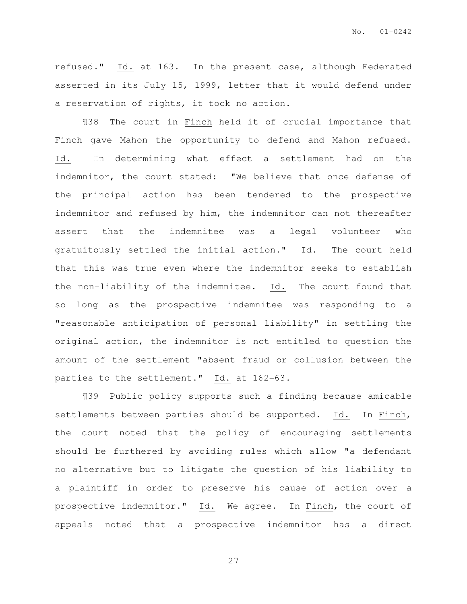refused." Id. at 163. In the present case, although Federated asserted in its July 15, 1999, letter that it would defend under a reservation of rights, it took no action.

¶38 The court in Finch held it of crucial importance that Finch gave Mahon the opportunity to defend and Mahon refused. Id. In determining what effect a settlement had on the indemnitor, the court stated: "We believe that once defense of the principal action has been tendered to the prospective indemnitor and refused by him, the indemnitor can not thereafter assert that the indemnitee was a legal volunteer who gratuitously settled the initial action." Id. The court held that this was true even where the indemnitor seeks to establish the non-liability of the indemnitee. Id. The court found that so long as the prospective indemnitee was responding to a "reasonable anticipation of personal liability" in settling the original action, the indemnitor is not entitled to question the amount of the settlement "absent fraud or collusion between the parties to the settlement." Id. at 162-63.

¶39 Public policy supports such a finding because amicable settlements between parties should be supported. Id. In Finch, the court noted that the policy of encouraging settlements should be furthered by avoiding rules which allow "a defendant no alternative but to litigate the question of his liability to a plaintiff in order to preserve his cause of action over a prospective indemnitor." Id. We agree. In Finch, the court of appeals noted that a prospective indemnitor has a direct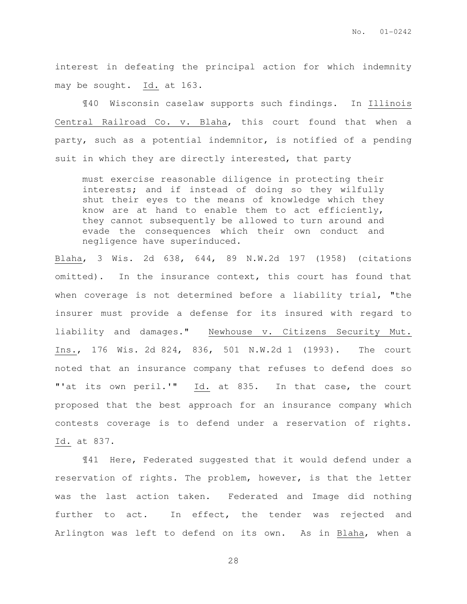No. 01-0242

interest in defeating the principal action for which indemnity may be sought. Id. at 163.

¶40 Wisconsin caselaw supports such findings. In Illinois Central Railroad Co. v. Blaha, this court found that when a party, such as a potential indemnitor, is notified of a pending suit in which they are directly interested, that party

must exercise reasonable diligence in protecting their interests; and if instead of doing so they wilfully shut their eyes to the means of knowledge which they know are at hand to enable them to act efficiently, they cannot subsequently be allowed to turn around and evade the consequences which their own conduct and negligence have superinduced.

Blaha, 3 Wis. 2d 638, 644, 89 N.W.2d 197 (1958) (citations omitted). In the insurance context, this court has found that when coverage is not determined before a liability trial, "the insurer must provide a defense for its insured with regard to liability and damages." Newhouse v. Citizens Security Mut. Ins., 176 Wis. 2d 824, 836, 501 N.W.2d 1 (1993). The court noted that an insurance company that refuses to defend does so "'at its own peril.'" Id. at 835. In that case, the court proposed that the best approach for an insurance company which contests coverage is to defend under a reservation of rights. Id. at 837.

¶41 Here, Federated suggested that it would defend under a reservation of rights. The problem, however, is that the letter was the last action taken. Federated and Image did nothing further to act. In effect, the tender was rejected and Arlington was left to defend on its own. As in Blaha, when a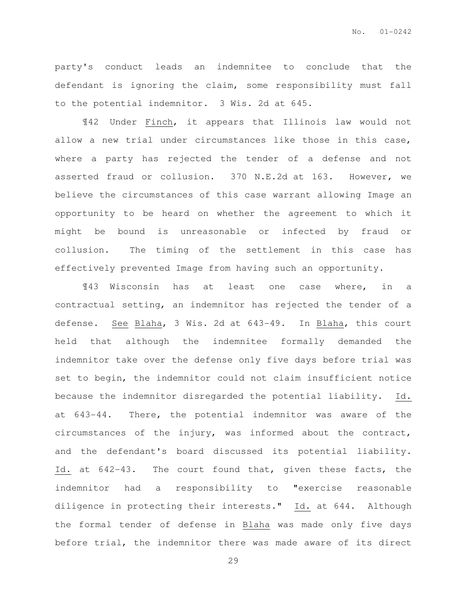party's conduct leads an indemnitee to conclude that the defendant is ignoring the claim, some responsibility must fall to the potential indemnitor. 3 Wis. 2d at 645.

¶42 Under Finch, it appears that Illinois law would not allow a new trial under circumstances like those in this case, where a party has rejected the tender of a defense and not asserted fraud or collusion. 370 N.E.2d at 163. However, we believe the circumstances of this case warrant allowing Image an opportunity to be heard on whether the agreement to which it might be bound is unreasonable or infected by fraud or collusion. The timing of the settlement in this case has effectively prevented Image from having such an opportunity.

¶43 Wisconsin has at least one case where, in a contractual setting, an indemnitor has rejected the tender of a defense. See Blaha, 3 Wis. 2d at 643-49. In Blaha, this court held that although the indemnitee formally demanded the indemnitor take over the defense only five days before trial was set to begin, the indemnitor could not claim insufficient notice because the indemnitor disregarded the potential liability. Id. at 643-44. There, the potential indemnitor was aware of the circumstances of the injury, was informed about the contract, and the defendant's board discussed its potential liability. Id. at 642-43. The court found that, given these facts, the indemnitor had a responsibility to "exercise reasonable diligence in protecting their interests." Id. at 644. Although the formal tender of defense in Blaha was made only five days before trial, the indemnitor there was made aware of its direct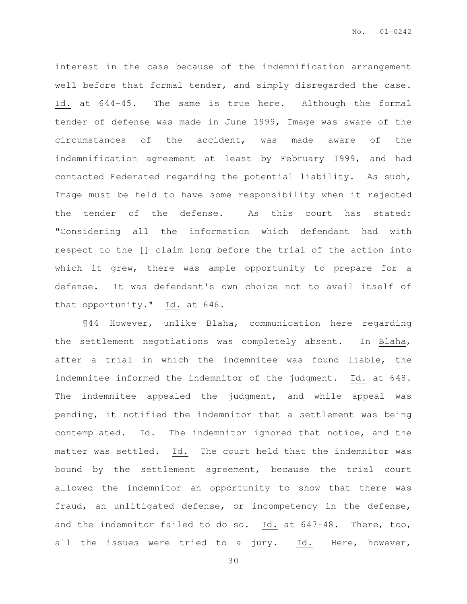interest in the case because of the indemnification arrangement well before that formal tender, and simply disregarded the case. Id. at 644-45. The same is true here. Although the formal tender of defense was made in June 1999, Image was aware of the circumstances of the accident, was made aware of the indemnification agreement at least by February 1999, and had contacted Federated regarding the potential liability. As such, Image must be held to have some responsibility when it rejected the tender of the defense. As this court has stated: "Considering all the information which defendant had with respect to the [] claim long before the trial of the action into which it grew, there was ample opportunity to prepare for a defense. It was defendant's own choice not to avail itself of that opportunity." Id. at 646.

¶44 However, unlike Blaha, communication here regarding the settlement negotiations was completely absent. In Blaha, after a trial in which the indemnitee was found liable, the indemnitee informed the indemnitor of the judgment. Id. at 648. The indemnitee appealed the judgment, and while appeal was pending, it notified the indemnitor that a settlement was being contemplated. Id. The indemnitor ignored that notice, and the matter was settled. Id. The court held that the indemnitor was bound by the settlement agreement, because the trial court allowed the indemnitor an opportunity to show that there was fraud, an unlitigated defense, or incompetency in the defense, and the indemnitor failed to do so. Id. at 647-48. There, too, all the issues were tried to a jury. Id. Here, however,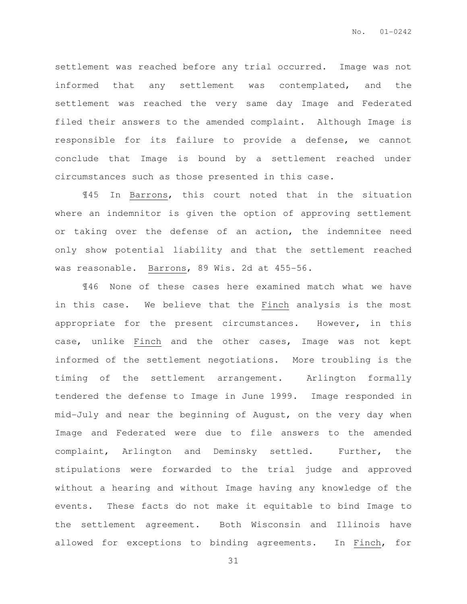settlement was reached before any trial occurred. Image was not informed that any settlement was contemplated, and the settlement was reached the very same day Image and Federated filed their answers to the amended complaint. Although Image is responsible for its failure to provide a defense, we cannot conclude that Image is bound by a settlement reached under circumstances such as those presented in this case.

¶45 In Barrons, this court noted that in the situation where an indemnitor is given the option of approving settlement or taking over the defense of an action, the indemnitee need only show potential liability and that the settlement reached was reasonable. Barrons, 89 Wis. 2d at 455-56.

¶46 None of these cases here examined match what we have in this case. We believe that the Finch analysis is the most appropriate for the present circumstances. However, in this case, unlike Finch and the other cases, Image was not kept informed of the settlement negotiations. More troubling is the timing of the settlement arrangement. Arlington formally tendered the defense to Image in June 1999. Image responded in mid-July and near the beginning of August, on the very day when Image and Federated were due to file answers to the amended complaint, Arlington and Deminsky settled. Further, the stipulations were forwarded to the trial judge and approved without a hearing and without Image having any knowledge of the events. These facts do not make it equitable to bind Image to the settlement agreement. Both Wisconsin and Illinois have allowed for exceptions to binding agreements. In Finch, for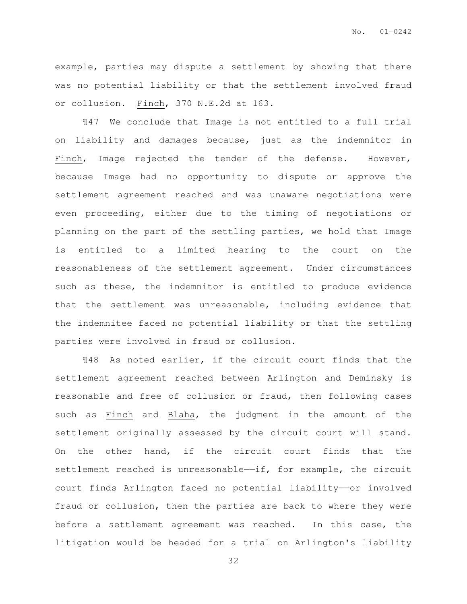example, parties may dispute a settlement by showing that there was no potential liability or that the settlement involved fraud or collusion. Finch, 370 N.E.2d at 163.

¶47 We conclude that Image is not entitled to a full trial on liability and damages because, just as the indemnitor in Finch, Image rejected the tender of the defense. However, because Image had no opportunity to dispute or approve the settlement agreement reached and was unaware negotiations were even proceeding, either due to the timing of negotiations or planning on the part of the settling parties, we hold that Image is entitled to a limited hearing to the court on the reasonableness of the settlement agreement. Under circumstances such as these, the indemnitor is entitled to produce evidence that the settlement was unreasonable, including evidence that the indemnitee faced no potential liability or that the settling parties were involved in fraud or collusion.

¶48 As noted earlier, if the circuit court finds that the settlement agreement reached between Arlington and Deminsky is reasonable and free of collusion or fraud, then following cases such as Finch and Blaha, the judgment in the amount of the settlement originally assessed by the circuit court will stand. On the other hand, if the circuit court finds that the settlement reached is unreasonable-if, for example, the circuit court finds Arlington faced no potential liability——or involved fraud or collusion, then the parties are back to where they were before a settlement agreement was reached. In this case, the litigation would be headed for a trial on Arlington's liability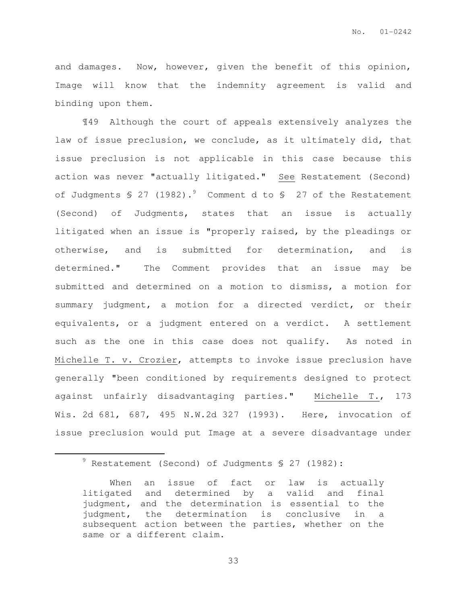and damages. Now, however, given the benefit of this opinion, Image will know that the indemnity agreement is valid and binding upon them.

¶49 Although the court of appeals extensively analyzes the law of issue preclusion, we conclude, as it ultimately did, that issue preclusion is not applicable in this case because this action was never "actually litigated." See Restatement (Second) of Judgments  $\frac{1}{2}$  (1982).<sup>9</sup> Comment d to  $\frac{1}{2}$  27 of the Restatement (Second) of Judgments, states that an issue is actually litigated when an issue is "properly raised, by the pleadings or otherwise, and is submitted for determination, and is determined." The Comment provides that an issue may be submitted and determined on a motion to dismiss, a motion for summary judgment, a motion for a directed verdict, or their equivalents, or a judgment entered on a verdict. A settlement such as the one in this case does not qualify. As noted in Michelle T. v. Crozier, attempts to invoke issue preclusion have generally "been conditioned by requirements designed to protect against unfairly disadvantaging parties." Michelle T., 173 Wis. 2d 681, 687, 495 N.W.2d 327 (1993). Here, invocation of issue preclusion would put Image at a severe disadvantage under

 $\overline{a}$ 

<sup>9</sup> Restatement (Second) of Judgments § 27 (1982):

When an issue of fact or law is actually litigated and determined by a valid and final judgment, and the determination is essential to the judgment, the determination is conclusive in a subsequent action between the parties, whether on the same or a different claim.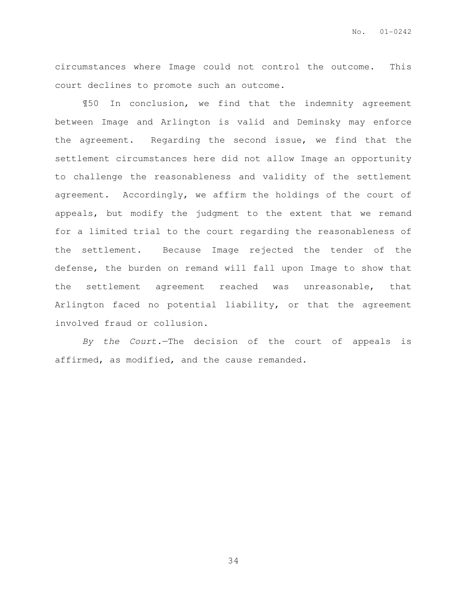circumstances where Image could not control the outcome. This court declines to promote such an outcome.

¶50 In conclusion, we find that the indemnity agreement between Image and Arlington is valid and Deminsky may enforce the agreement. Regarding the second issue, we find that the settlement circumstances here did not allow Image an opportunity to challenge the reasonableness and validity of the settlement agreement. Accordingly, we affirm the holdings of the court of appeals, but modify the judgment to the extent that we remand for a limited trial to the court regarding the reasonableness of the settlement. Because Image rejected the tender of the defense, the burden on remand will fall upon Image to show that the settlement agreement reached was unreasonable, that Arlington faced no potential liability, or that the agreement involved fraud or collusion.

By the Court.—The decision of the court of appeals is affirmed, as modified, and the cause remanded.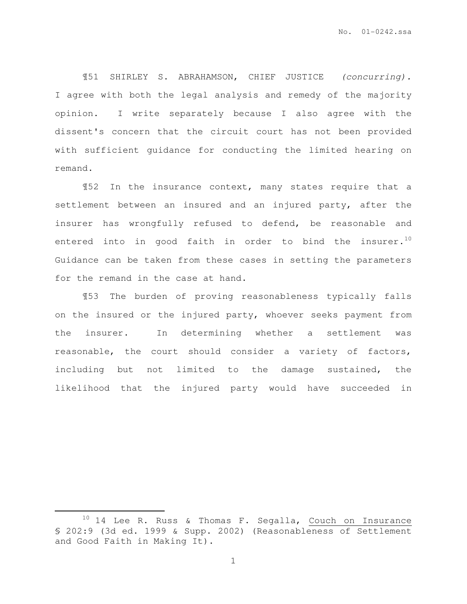¶51 SHIRLEY S. ABRAHAMSON, CHIEF JUSTICE (concurring). I agree with both the legal analysis and remedy of the majority opinion. I write separately because I also agree with the dissent's concern that the circuit court has not been provided with sufficient guidance for conducting the limited hearing on remand.

¶52 In the insurance context, many states require that a settlement between an insured and an injured party, after the insurer has wrongfully refused to defend, be reasonable and entered into in good faith in order to bind the insurer.<sup>10</sup> Guidance can be taken from these cases in setting the parameters for the remand in the case at hand.

¶53 The burden of proving reasonableness typically falls on the insured or the injured party, whoever seeks payment from the insurer. In determining whether a settlement was reasonable, the court should consider a variety of factors, including but not limited to the damage sustained, the likelihood that the injured party would have succeeded in

 $\overline{a}$ 

<sup>&</sup>lt;sup>10</sup> 14 Lee R. Russ & Thomas F. Segalla, Couch on Insurance § 202:9 (3d ed. 1999 & Supp. 2002) (Reasonableness of Settlement and Good Faith in Making It).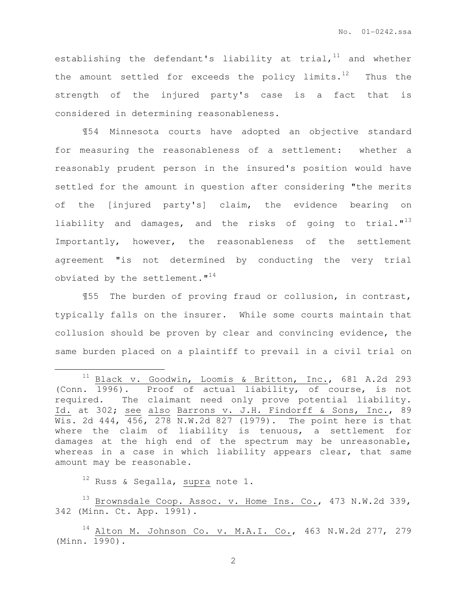establishing the defendant's liability at trial, $11$  and whether the amount settled for exceeds the policy limits. $12$  Thus the strength of the injured party's case is a fact that is considered in determining reasonableness.

¶54 Minnesota courts have adopted an objective standard for measuring the reasonableness of a settlement: whether a reasonably prudent person in the insured's position would have settled for the amount in question after considering "the merits of the [injured party's] claim, the evidence bearing on liability and damages, and the risks of going to trial."<sup>13</sup> Importantly, however, the reasonableness of the settlement agreement "is not determined by conducting the very trial obviated by the settlement."<sup>14</sup>

¶55 The burden of proving fraud or collusion, in contrast, typically falls on the insurer. While some courts maintain that collusion should be proven by clear and convincing evidence, the same burden placed on a plaintiff to prevail in a civil trial on

 $12$  Russ & Segalla, supra note 1.

 $\overline{a}$ 

 $^{13}$  Brownsdale Coop. Assoc. v. Home Ins. Co., 473 N.W.2d 339, 342 (Minn. Ct. App. 1991).

<sup>&</sup>lt;sup>11</sup> Black v. Goodwin, Loomis & Britton, Inc., 681 A.2d 293 (Conn. 1996). Proof of actual liability, of course, is not required. The claimant need only prove potential liability. Id. at 302; see also Barrons v. J.H. Findorff & Sons, Inc., 89  $\overline{W}$ is. 2d 444, 456, 278 N.W.2d 827 (1979). The point here is that where the claim of liability is tenuous, a settlement for damages at the high end of the spectrum may be unreasonable, whereas in a case in which liability appears clear, that same amount may be reasonable.

 $14$  Alton M. Johnson Co. v. M.A.I. Co., 463 N.W.2d 277, 279 (Minn. 1990).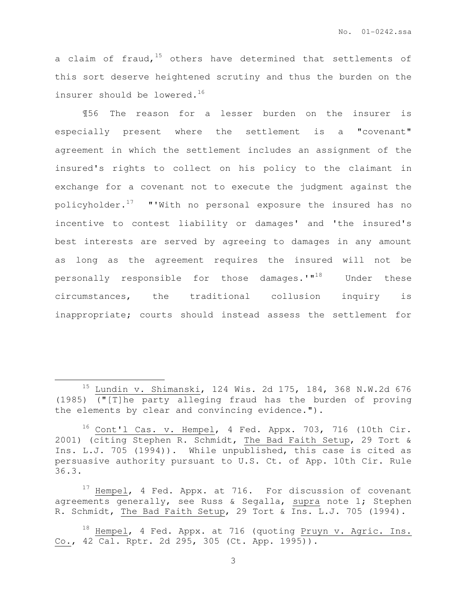a claim of fraud,  $15$  others have determined that settlements of this sort deserve heightened scrutiny and thus the burden on the insurer should be lowered.<sup>16</sup>

¶56 The reason for a lesser burden on the insurer is especially present where the settlement is a "covenant" agreement in which the settlement includes an assignment of the insured's rights to collect on his policy to the claimant in exchange for a covenant not to execute the judgment against the policyholder. $17$  "'With no personal exposure the insured has no incentive to contest liability or damages' and 'the insured's best interests are served by agreeing to damages in any amount as long as the agreement requires the insured will not be personally responsible for those damages.'"<sup>18</sup> Under these circumstances, the traditional collusion inquiry is inappropriate; courts should instead assess the settlement for

 $\overline{a}$ 

<sup>15</sup> Lundin v. Shimanski, 124 Wis. 2d 175, 184, 368 N.W.2d 676 (1985) ("[T]he party alleging fraud has the burden of proving the elements by clear and convincing evidence.").

<sup>16</sup> Cont'l Cas. v. Hempel, 4 Fed. Appx. 703, 716 (10th Cir. 2001) (citing Stephen R. Schmidt, The Bad Faith Setup, 29 Tort & Ins. L.J. 705 (1994)). While unpublished, this case is cited as persuasive authority pursuant to U.S. Ct. of App. 10th Cir. Rule 36.3.

<sup>&</sup>lt;sup>17</sup> Hempel, 4 Fed. Appx. at 716. For discussion of covenant agreements generally, see Russ & Segalla, supra note 1; Stephen R. Schmidt, The Bad Faith Setup, 29 Tort & Ins. L.J. 705 (1994).

<sup>&</sup>lt;sup>18</sup> Hempel, 4 Fed. Appx. at 716 (quoting Pruyn v. Agric. Ins. Co., 42 Cal. Rptr. 2d 295, 305 (Ct. App. 1995)).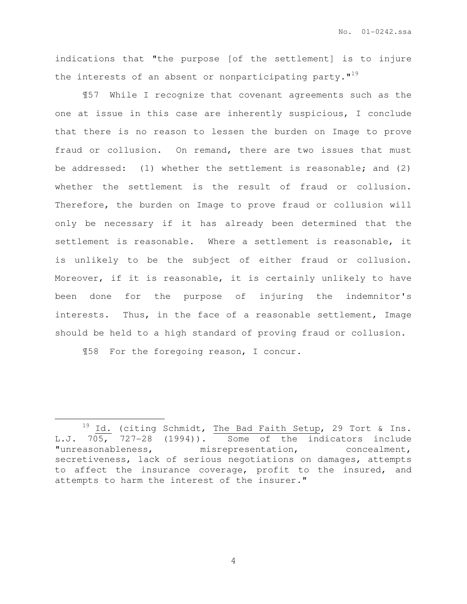indications that "the purpose [of the settlement] is to injure the interests of an absent or nonparticipating party. $1^{19}$ 

¶57 While I recognize that covenant agreements such as the one at issue in this case are inherently suspicious, I conclude that there is no reason to lessen the burden on Image to prove fraud or collusion. On remand, there are two issues that must be addressed: (1) whether the settlement is reasonable; and (2) whether the settlement is the result of fraud or collusion. Therefore, the burden on Image to prove fraud or collusion will only be necessary if it has already been determined that the settlement is reasonable. Where a settlement is reasonable, it is unlikely to be the subject of either fraud or collusion. Moreover, if it is reasonable, it is certainly unlikely to have been done for the purpose of injuring the indemnitor's interests. Thus, in the face of a reasonable settlement, Image should be held to a high standard of proving fraud or collusion.

¶58 For the foregoing reason, I concur.

 $\overline{a}$ 

 $19$  Id. (citing Schmidt, The Bad Faith Setup, 29 Tort & Ins. L.J. 705, 727-28 (1994)). Some of the indicators include "unreasonableness, misrepresentation, concealment, secretiveness, lack of serious negotiations on damages, attempts to affect the insurance coverage, profit to the insured, and attempts to harm the interest of the insurer."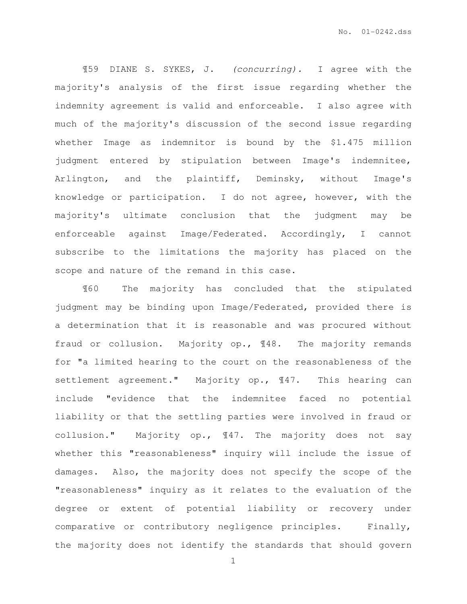¶59 DIANE S. SYKES, J. (concurring). I agree with the majority's analysis of the first issue regarding whether the indemnity agreement is valid and enforceable. I also agree with much of the majority's discussion of the second issue regarding whether Image as indemnitor is bound by the \$1.475 million judgment entered by stipulation between Image's indemnitee, Arlington, and the plaintiff, Deminsky, without Image's knowledge or participation. I do not agree, however, with the majority's ultimate conclusion that the judgment may be enforceable against Image/Federated. Accordingly, I cannot subscribe to the limitations the majority has placed on the scope and nature of the remand in this case.

¶60 The majority has concluded that the stipulated judgment may be binding upon Image/Federated, provided there is a determination that it is reasonable and was procured without fraud or collusion. Majority op., ¶48. The majority remands for "a limited hearing to the court on the reasonableness of the settlement agreement." Majority op., ¶47. This hearing can include "evidence that the indemnitee faced no potential liability or that the settling parties were involved in fraud or collusion." Majority op., ¶47. The majority does not say whether this "reasonableness" inquiry will include the issue of damages. Also, the majority does not specify the scope of the "reasonableness" inquiry as it relates to the evaluation of the degree or extent of potential liability or recovery under comparative or contributory negligence principles. Finally, the majority does not identify the standards that should govern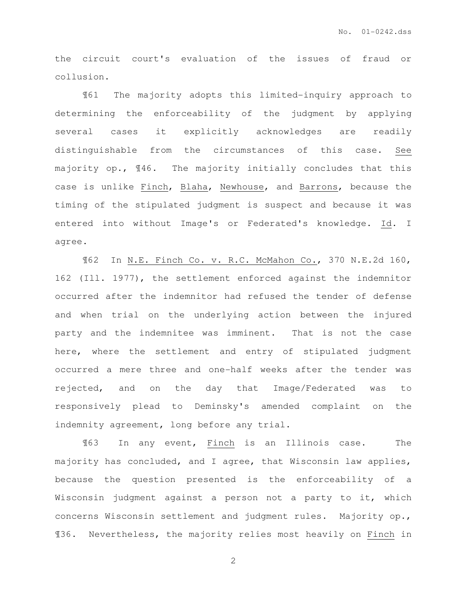the circuit court's evaluation of the issues of fraud or collusion.

¶61 The majority adopts this limited-inquiry approach to determining the enforceability of the judgment by applying several cases it explicitly acknowledges are readily distinguishable from the circumstances of this case. See majority op., ¶46. The majority initially concludes that this case is unlike Finch, Blaha, Newhouse, and Barrons, because the timing of the stipulated judgment is suspect and because it was entered into without Image's or Federated's knowledge. Id. I agree.

¶62 In N.E. Finch Co. v. R.C. McMahon Co., 370 N.E.2d 160, 162 (Ill. 1977), the settlement enforced against the indemnitor occurred after the indemnitor had refused the tender of defense and when trial on the underlying action between the injured party and the indemnitee was imminent. That is not the case here, where the settlement and entry of stipulated judgment occurred a mere three and one-half weeks after the tender was rejected, and on the day that Image/Federated was to responsively plead to Deminsky's amended complaint on the indemnity agreement, long before any trial.

¶63 In any event, Finch is an Illinois case. The majority has concluded, and I agree, that Wisconsin law applies, because the question presented is the enforceability of a Wisconsin judgment against a person not a party to it, which concerns Wisconsin settlement and judgment rules. Majority op., ¶36. Nevertheless, the majority relies most heavily on Finch in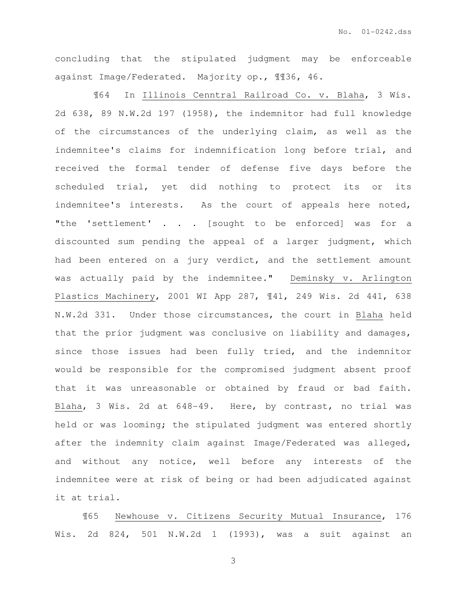concluding that the stipulated judgment may be enforceable against Image/Federated. Majority op., ¶¶36, 46.

 ¶64 In Illinois Cenntral Railroad Co. v. Blaha, 3 Wis. 2d 638, 89 N.W.2d 197 (1958), the indemnitor had full knowledge of the circumstances of the underlying claim, as well as the indemnitee's claims for indemnification long before trial, and received the formal tender of defense five days before the scheduled trial, yet did nothing to protect its or its indemnitee's interests. As the court of appeals here noted, "the 'settlement' . . . [sought to be enforced] was for a discounted sum pending the appeal of a larger judgment, which had been entered on a jury verdict, and the settlement amount was actually paid by the indemnitee." Deminsky v. Arlington Plastics Machinery, 2001 WI App 287, ¶41, 249 Wis. 2d 441, 638 N.W.2d 331. Under those circumstances, the court in Blaha held that the prior judgment was conclusive on liability and damages, since those issues had been fully tried, and the indemnitor would be responsible for the compromised judgment absent proof that it was unreasonable or obtained by fraud or bad faith. Blaha, 3 Wis. 2d at 648-49. Here, by contrast, no trial was held or was looming; the stipulated judgment was entered shortly after the indemnity claim against Image/Federated was alleged, and without any notice, well before any interests of the indemnitee were at risk of being or had been adjudicated against it at trial.

¶65 Newhouse v. Citizens Security Mutual Insurance, 176 Wis. 2d 824, 501 N.W.2d 1 (1993), was a suit against an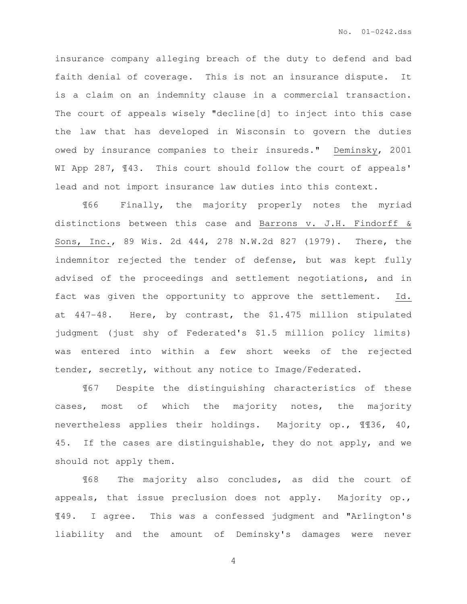insurance company alleging breach of the duty to defend and bad faith denial of coverage. This is not an insurance dispute. It is a claim on an indemnity clause in a commercial transaction. The court of appeals wisely "decline[d] to inject into this case the law that has developed in Wisconsin to govern the duties owed by insurance companies to their insureds." Deminsky, 2001 WI App 287,  $\sqrt{43}$ . This court should follow the court of appeals' lead and not import insurance law duties into this context.

¶66 Finally, the majority properly notes the myriad distinctions between this case and Barrons v. J.H. Findorff & Sons, Inc., 89 Wis. 2d 444, 278 N.W.2d 827 (1979). There, the indemnitor rejected the tender of defense, but was kept fully advised of the proceedings and settlement negotiations, and in fact was given the opportunity to approve the settlement. Id. at 447-48. Here, by contrast, the \$1.475 million stipulated judgment (just shy of Federated's \$1.5 million policy limits) was entered into within a few short weeks of the rejected tender, secretly, without any notice to Image/Federated.

¶67 Despite the distinguishing characteristics of these cases, most of which the majority notes, the majority nevertheless applies their holdings. Majority op., ¶¶36, 40, 45. If the cases are distinguishable, they do not apply, and we should not apply them.

¶68 The majority also concludes, as did the court of appeals, that issue preclusion does not apply. Majority op., ¶49. I agree. This was a confessed judgment and "Arlington's liability and the amount of Deminsky's damages were never